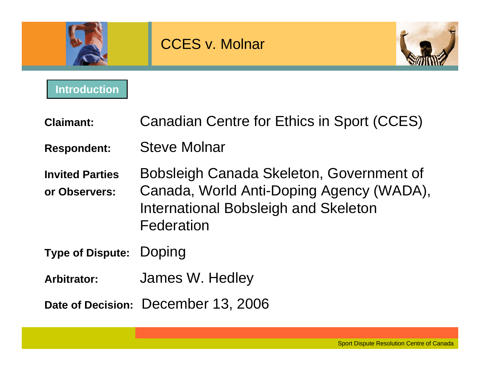



### **Introduction**

- **Claimant:**Canadian Centre for Ethics in Sport (CCES)
- **Respondent:** Steve Molnar
- **Invited Parties** Bobsleigh Canada Skeleton, Government of **or Observers:** Canada, World Anti-Doping Agency (WADA), International Bobsleigh and Skeleton Federation

**Type of Dispute:** Doping

**Arbitrator:**James W. Hedley

**Date of Decision:** December 13, 2006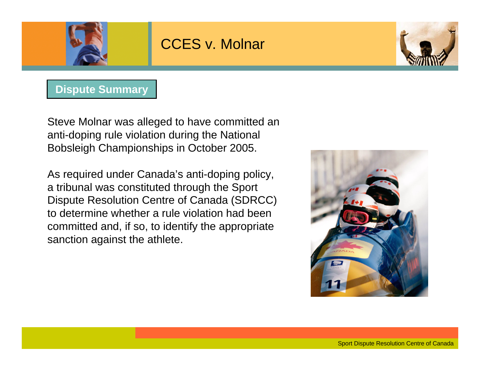



### **Dispute Summary**

Steve Molnar was alleged to have committed an anti-doping rule violation during the National Bobsleigh Championships in October 2005.

As required under Canada's anti-doping policy, a tribunal was constituted through the Sport Dispute Resolution Centre of Canada (SDRCC) to determine whether a rule violation had been committed and, if so, to identify the appropriate sanction against the athlete.

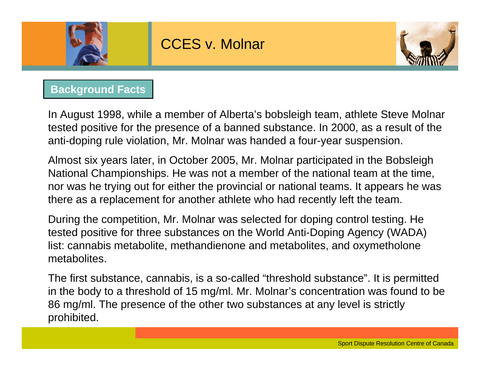



### **Background Facts**

In August 1998, while a member of Alberta's bobsleigh team, athlete Steve Molnar tested positive for the presence of a banned substance. In 2000, as a result of the anti-doping rule violation, Mr. Molnar was handed a four-year suspension.

Almost six years later, in October 2005, Mr. Molnar participated in the Bobsleigh National Championships. He was not a member of the national team at the time, nor was he trying out for either the provincial or national teams. It appears he was there as a replacement for another athlete who had recently left the team.

During the competition, Mr. Molnar was selected for doping control testing. He tested positive for three substances on the World Anti-Doping Agency (WADA) list: cannabis metabolite, methandienone and metabolites, and oxymetholone metabolites.

The first substance, cannabis, is a so-called "threshold substance". It is permitted in the body to a threshold of 15 mg/ml. Mr. Molnar's concentration was found to be 86 mg/ml. The presence of the other two substances at any level is strictly prohibited.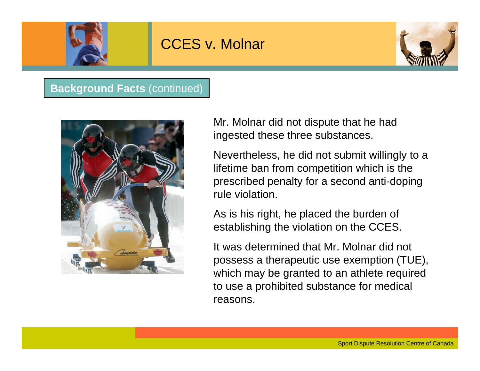



### **Background Facts** (continued)



Mr. Molnar did not dispute that he had ingested these three substances.

Nevertheless, he did not submit willingly to a lifetime ban from competition which is the prescribed penalty for a second anti-doping rule violation.

As is his right, he placed the burden of establishing the violation on the CCES.

It was determined that Mr. Molnar did not possess a therapeutic use exemption (TUE), which may be granted to an athlete required to use a prohibited substance for medical reasons.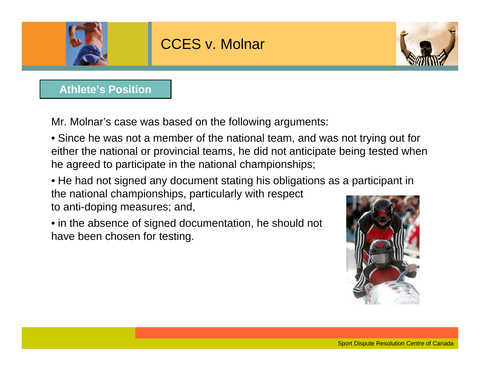



### **Athlete's Position**

Mr. Molnar's case was based on the following arguments:

- Since he was not a member of the national team, and was not trying out for either the national or provincial teams, he did not anticipate being tested when he agreed to participate in the national championships;
- He had not signed any document stating his obligations as a participant in the national championships, particularly with respect to anti-doping measures; and,

• in the absence of signed documentation, he should not have been chosen for testing.

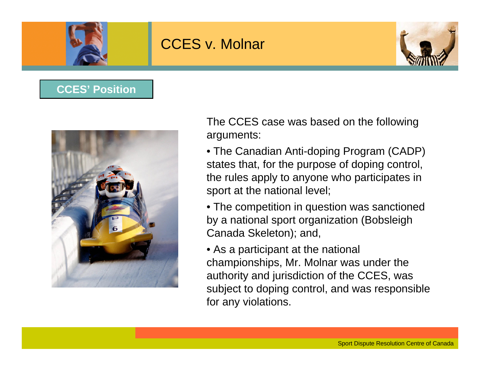

### **CCES' Position**



The CCES case was based on the following arguments:

- The Canadian Anti-doping Program (CADP) states that, for the purpose of doping control, the rules apply to anyone who participates in sport at the national level;
- The competition in question was sanctioned by a national sport organization (Bobsleigh Canada Skeleton); and,
- As a participant at the national championships, Mr. Molnar was under the authority and jurisdiction of the CCES, was subject to doping control, and was responsible for any violations.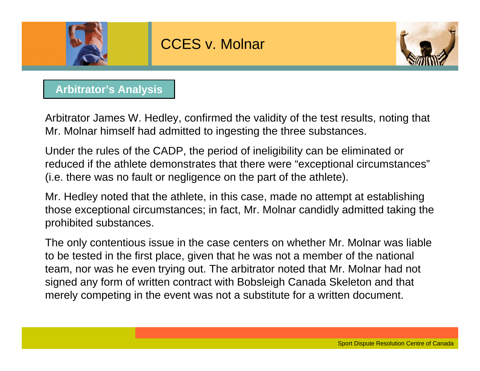



### **Arbitrator's Analysis**

Arbitrator James W. Hedley, confirmed the validity of the test results, noting that Mr. Molnar himself had admitted to ingesting the three substances.

Under the rules of the CADP, the period of ineligibility can be eliminated or reduced if the athlete demonstrates that there were "exceptional circumstances" (i.e. there was no fault or negligence on the part of the athlete).

Mr. Hedley noted that the athlete, in this case, made no attempt at establishing those exceptional circumstances; in fact, Mr. Molnar candidly admitted taking the prohibited substances.

The only contentious issue in the case centers on whether Mr. Molnar was liable to be tested in the first place, given that he was not a member of the national team, nor was he even trying out. The arbitrator noted that Mr. Molnar had not signed any form of written contract with Bobsleigh Canada Skeleton and that merely competing in the event was not a substitute for a written document.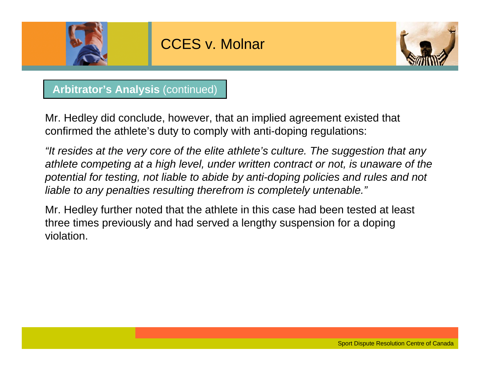



### **Arbitrator's Analysis** (continued)

Mr. Hedley did conclude, however, that an implied agreement existed that confirmed the athlete's duty to comply with anti-doping regulations:

*"It resides at the very core of the elite athlete's culture. The suggestion that any athlete competing at a high level, under written contract or not, is unaware of the potential for testing, not liable to abide by anti-doping policies and rules and not liable to any penalties resulting therefrom is completely untenable."*

Mr. Hedley further noted that the athlete in this case had been tested at least three times previously and had served a lengthy suspension for a doping violation.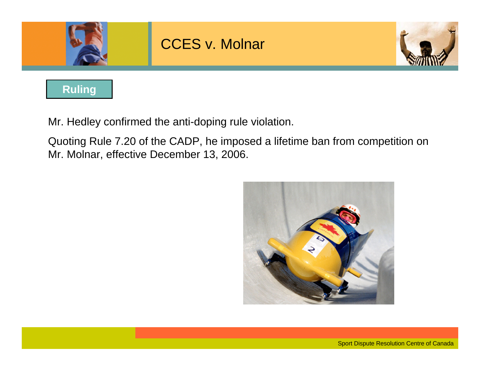



### **Ruling**

Mr. Hedley confirmed the anti-doping rule violation.

Quoting Rule 7.20 of the CADP, he imposed a lifetime ban from competition on Mr. Molnar, effective December 13, 2006.